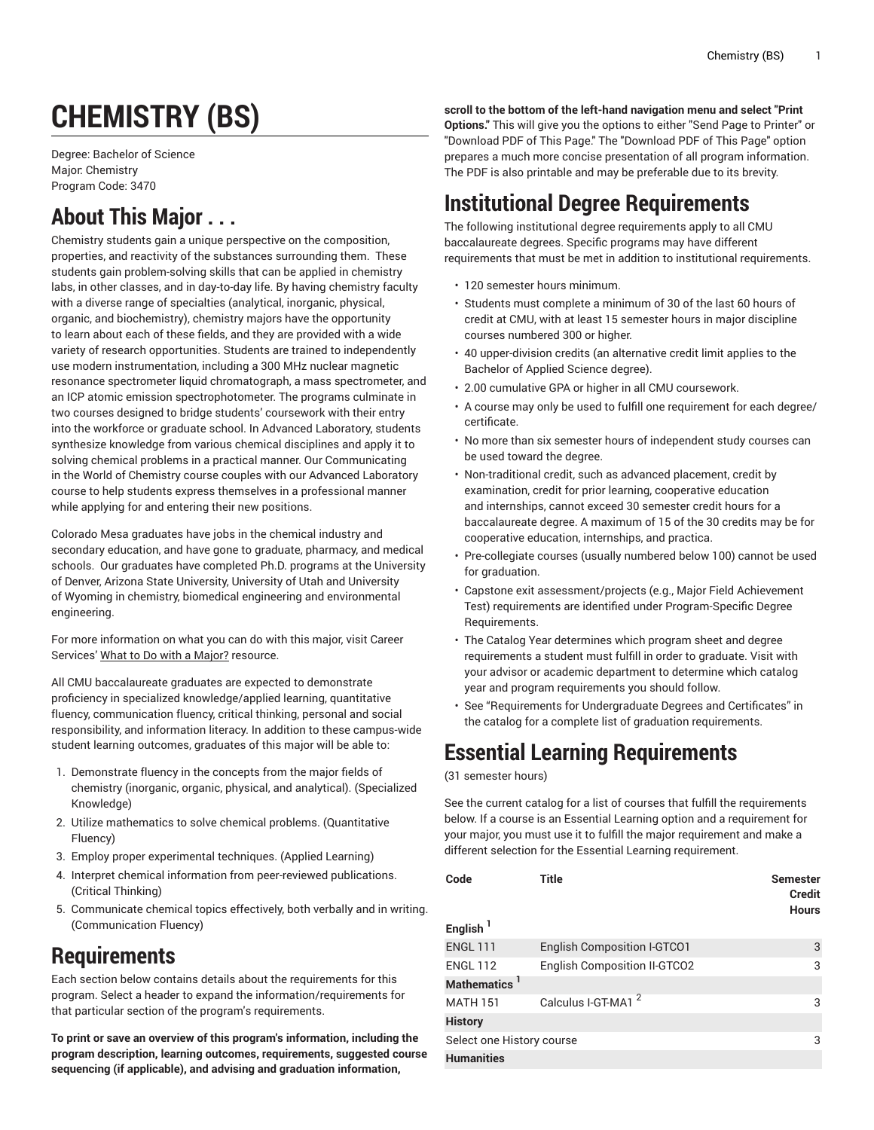# **CHEMISTRY (BS)**

Degree: Bachelor of Science Major: Chemistry Program Code: 3470

# **About This Major . . .**

Chemistry students gain a unique perspective on the composition, properties, and reactivity of the substances surrounding them. These students gain problem-solving skills that can be applied in chemistry labs, in other classes, and in day-to-day life. By having chemistry faculty with a diverse range of specialties (analytical, inorganic, physical, organic, and biochemistry), chemistry majors have the opportunity to learn about each of these fields, and they are provided with a wide variety of research opportunities. Students are trained to independently use modern instrumentation, including a 300 MHz nuclear magnetic resonance spectrometer liquid chromatograph, a mass spectrometer, and an ICP atomic emission spectrophotometer. The programs culminate in two courses designed to bridge students' coursework with their entry into the workforce or graduate school. In Advanced Laboratory, students synthesize knowledge from various chemical disciplines and apply it to solving chemical problems in a practical manner. Our Communicating in the World of Chemistry course couples with our Advanced Laboratory course to help students express themselves in a professional manner while applying for and entering their new positions.

Colorado Mesa graduates have jobs in the chemical industry and secondary education, and have gone to graduate, pharmacy, and medical schools. Our graduates have completed Ph.D. programs at the University of Denver, Arizona State University, University of Utah and University of Wyoming in chemistry, biomedical engineering and environmental engineering.

For more information on what you can do with this major, visit Career Services' [What to Do with a Major?](https://www.coloradomesa.edu/career/explore/major.html) resource.

All CMU baccalaureate graduates are expected to demonstrate proficiency in specialized knowledge/applied learning, quantitative fluency, communication fluency, critical thinking, personal and social responsibility, and information literacy. In addition to these campus-wide student learning outcomes, graduates of this major will be able to:

- 1. Demonstrate fluency in the concepts from the major fields of chemistry (inorganic, organic, physical, and analytical). (Specialized Knowledge)
- 2. Utilize mathematics to solve chemical problems. (Quantitative Fluency)
- 3. Employ proper experimental techniques. (Applied Learning)
- 4. Interpret chemical information from peer-reviewed publications. (Critical Thinking)
- 5. Communicate chemical topics effectively, both verbally and in writing. (Communication Fluency)

## **Requirements**

Each section below contains details about the requirements for this program. Select a header to expand the information/requirements for that particular section of the program's requirements.

**To print or save an overview of this program's information, including the program description, learning outcomes, requirements, suggested course sequencing (if applicable), and advising and graduation information,**

**scroll to the bottom of the left-hand navigation menu and select "Print Options."** This will give you the options to either "Send Page to Printer" or "Download PDF of This Page." The "Download PDF of This Page" option prepares a much more concise presentation of all program information. The PDF is also printable and may be preferable due to its brevity.

# **Institutional Degree Requirements**

The following institutional degree requirements apply to all CMU baccalaureate degrees. Specific programs may have different requirements that must be met in addition to institutional requirements.

- 120 semester hours minimum.
- Students must complete a minimum of 30 of the last 60 hours of credit at CMU, with at least 15 semester hours in major discipline courses numbered 300 or higher.
- 40 upper-division credits (an alternative credit limit applies to the Bachelor of Applied Science degree).
- 2.00 cumulative GPA or higher in all CMU coursework.
- A course may only be used to fulfill one requirement for each degree/ certificate.
- No more than six semester hours of independent study courses can be used toward the degree.
- Non-traditional credit, such as advanced placement, credit by examination, credit for prior learning, cooperative education and internships, cannot exceed 30 semester credit hours for a baccalaureate degree. A maximum of 15 of the 30 credits may be for cooperative education, internships, and practica.
- Pre-collegiate courses (usually numbered below 100) cannot be used for graduation.
- Capstone exit assessment/projects (e.g., Major Field Achievement Test) requirements are identified under Program-Specific Degree Requirements.
- The Catalog Year determines which program sheet and degree requirements a student must fulfill in order to graduate. Visit with your advisor or academic department to determine which catalog year and program requirements you should follow.
- See "Requirements for Undergraduate Degrees and Certificates" in the catalog for a complete list of graduation requirements.

# **Essential Learning Requirements**

#### (31 semester hours)

See the current catalog for a list of courses that fulfill the requirements below. If a course is an Essential Learning option and a requirement for your major, you must use it to fulfill the major requirement and make a different selection for the Essential Learning requirement.

| Code<br>English <sup>1</sup> | Title                               | <b>Semester</b><br><b>Credit</b><br><b>Hours</b> |
|------------------------------|-------------------------------------|--------------------------------------------------|
| <b>ENGL 111</b>              | <b>English Composition I-GTCO1</b>  | 3                                                |
| <b>ENGL 112</b>              | <b>English Composition II-GTCO2</b> | 3                                                |
| Mathematics '                |                                     |                                                  |
| <b>MATH 151</b>              | Calculus I-GT-MA1 <sup>2</sup>      | 3                                                |
| <b>History</b>               |                                     |                                                  |
| Select one History course    |                                     | 3                                                |
| <b>Humanities</b>            |                                     |                                                  |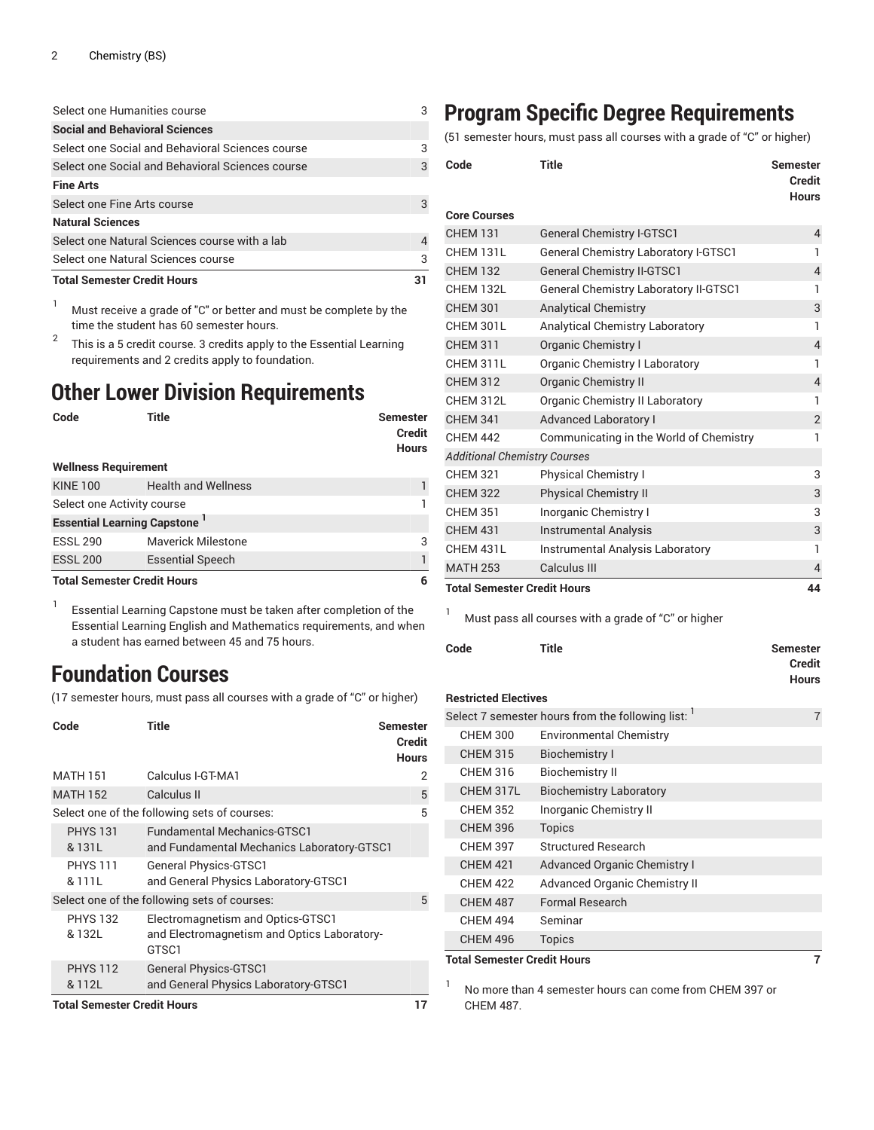#### Select one Humanities course 3

| <b>Social and Behavioral Sciences</b>            |    |
|--------------------------------------------------|----|
| Select one Social and Behavioral Sciences course | 3  |
| Select one Social and Behavioral Sciences course |    |
| <b>Fine Arts</b>                                 |    |
| Select one Fine Arts course                      |    |
| <b>Natural Sciences</b>                          |    |
| Select one Natural Sciences course with a lab    |    |
| Select one Natural Sciences course               |    |
| <b>Total Semester Credit Hours</b>               | 31 |

<sup>1</sup> Must receive a grade of "C" or better and must be complete by the time the student has 60 semester hours.

2 This is a 5 credit course. 3 credits apply to the Essential Learning requirements and 2 credits apply to foundation.

#### **Other Lower Division Requirements**

| Code                               | Title                              | <b>Semester</b><br><b>Credit</b><br><b>Hours</b> |
|------------------------------------|------------------------------------|--------------------------------------------------|
| <b>Wellness Requirement</b>        |                                    |                                                  |
| <b>KINE 100</b>                    | <b>Health and Wellness</b>         |                                                  |
| Select one Activity course         |                                    |                                                  |
|                                    | <b>Essential Learning Capstone</b> |                                                  |
| <b>ESSL 290</b>                    | <b>Maverick Milestone</b>          | 3                                                |
| <b>ESSL 200</b>                    | <b>Essential Speech</b>            |                                                  |
| <b>Total Semester Credit Hours</b> | 6                                  |                                                  |

1 Essential Learning Capstone must be taken after completion of the Essential Learning English and Mathematics requirements, and when a student has earned between 45 and 75 hours.

# **Foundation Courses**

(17 semester hours, must pass all courses with a grade of "C" or higher)

| Code                               | Title                                                                                     | <b>Semester</b><br><b>Credit</b><br><b>Hours</b> |
|------------------------------------|-------------------------------------------------------------------------------------------|--------------------------------------------------|
| <b>MATH 151</b>                    | Calculus I-GT-MA1                                                                         | 2                                                |
| <b>MATH 152</b>                    | Calculus II                                                                               | 5                                                |
|                                    | Select one of the following sets of courses:                                              | 5                                                |
| <b>PHYS 131</b><br>& 131L          | <b>Fundamental Mechanics-GTSC1</b><br>and Fundamental Mechanics Laboratory-GTSC1          |                                                  |
| <b>PHYS 111</b><br>& 111L          | <b>General Physics-GTSC1</b><br>and General Physics Laboratory-GTSC1                      |                                                  |
|                                    | Select one of the following sets of courses:                                              | 5                                                |
| <b>PHYS 132</b><br>& 132L          | Electromagnetism and Optics-GTSC1<br>and Electromagnetism and Optics Laboratory-<br>GTSC1 |                                                  |
| <b>PHYS 112</b><br>& 112L          | <b>General Physics-GTSC1</b><br>and General Physics Laboratory-GTSC1                      |                                                  |
| <b>Total Semester Credit Hours</b> |                                                                                           |                                                  |

## **Program Specific Degree Requirements**

(51 semester hours, must pass all courses with a grade of "C" or higher)

| Code                                | Title                                        | <b>Semester</b><br><b>Credit</b><br><b>Hours</b> |
|-------------------------------------|----------------------------------------------|--------------------------------------------------|
| <b>Core Courses</b>                 |                                              |                                                  |
| <b>CHEM 131</b>                     | <b>General Chemistry I-GTSC1</b>             | $\overline{4}$                                   |
| CHEM 131L                           | <b>General Chemistry Laboratory I-GTSC1</b>  | 1                                                |
| <b>CHEM 132</b>                     | <b>General Chemistry II-GTSC1</b>            | $\overline{4}$                                   |
| CHEM 132L                           | <b>General Chemistry Laboratory II-GTSC1</b> | 1                                                |
| <b>CHEM 301</b>                     | <b>Analytical Chemistry</b>                  | 3                                                |
| CHEM 301L                           | <b>Analytical Chemistry Laboratory</b>       | 1                                                |
| <b>CHEM 311</b>                     | Organic Chemistry I                          | $\overline{4}$                                   |
| CHEM 311L                           | Organic Chemistry I Laboratory               | 1                                                |
| <b>CHEM 312</b>                     | <b>Organic Chemistry II</b>                  | $\overline{4}$                                   |
| CHEM 312L                           | Organic Chemistry II Laboratory              | 1                                                |
| <b>CHEM 341</b>                     | <b>Advanced Laboratory I</b>                 | $\overline{2}$                                   |
| <b>CHEM 442</b>                     | Communicating in the World of Chemistry      | 1                                                |
| <b>Additional Chemistry Courses</b> |                                              |                                                  |
| <b>CHEM 321</b>                     | Physical Chemistry I                         | 3                                                |
| <b>CHEM 322</b>                     | <b>Physical Chemistry II</b>                 | 3                                                |
| <b>CHEM 351</b>                     | Inorganic Chemistry I                        | 3                                                |
| <b>CHEM 431</b>                     | <b>Instrumental Analysis</b>                 | 3                                                |
| CHEM 431L                           | Instrumental Analysis Laboratory             | 1                                                |
| <b>MATH 253</b>                     | Calculus III                                 | 4                                                |
| <b>Total Semester Credit Hours</b>  |                                              |                                                  |

<sup>1</sup> Must pass all courses with a grade of "C" or higher

| Code                               | <b>Title</b>                                       | <b>Semester</b><br><b>Credit</b><br><b>Hours</b> |
|------------------------------------|----------------------------------------------------|--------------------------------------------------|
| <b>Restricted Electives</b>        |                                                    |                                                  |
|                                    | Select 7 semester hours from the following list: 1 | 7                                                |
| <b>CHEM 300</b>                    | <b>Environmental Chemistry</b>                     |                                                  |
| <b>CHEM 315</b>                    | <b>Biochemistry I</b>                              |                                                  |
| <b>CHEM 316</b>                    | <b>Biochemistry II</b>                             |                                                  |
| CHEM 317L                          | <b>Biochemistry Laboratory</b>                     |                                                  |
| <b>CHEM 352</b>                    | Inorganic Chemistry II                             |                                                  |
| <b>CHEM 396</b>                    | <b>Topics</b>                                      |                                                  |
| <b>CHEM 397</b>                    | <b>Structured Research</b>                         |                                                  |
| <b>CHEM 421</b>                    | <b>Advanced Organic Chemistry I</b>                |                                                  |
| <b>CHEM 422</b>                    | Advanced Organic Chemistry II                      |                                                  |
| <b>CHEM 487</b>                    | <b>Formal Research</b>                             |                                                  |
| <b>CHEM 494</b>                    | Seminar                                            |                                                  |
| <b>CHEM 496</b>                    | <b>Topics</b>                                      |                                                  |
| <b>Total Semester Credit Hours</b> |                                                    | 7                                                |

1 No more than 4 semester hours can come from CHEM 397 or CHEM 487.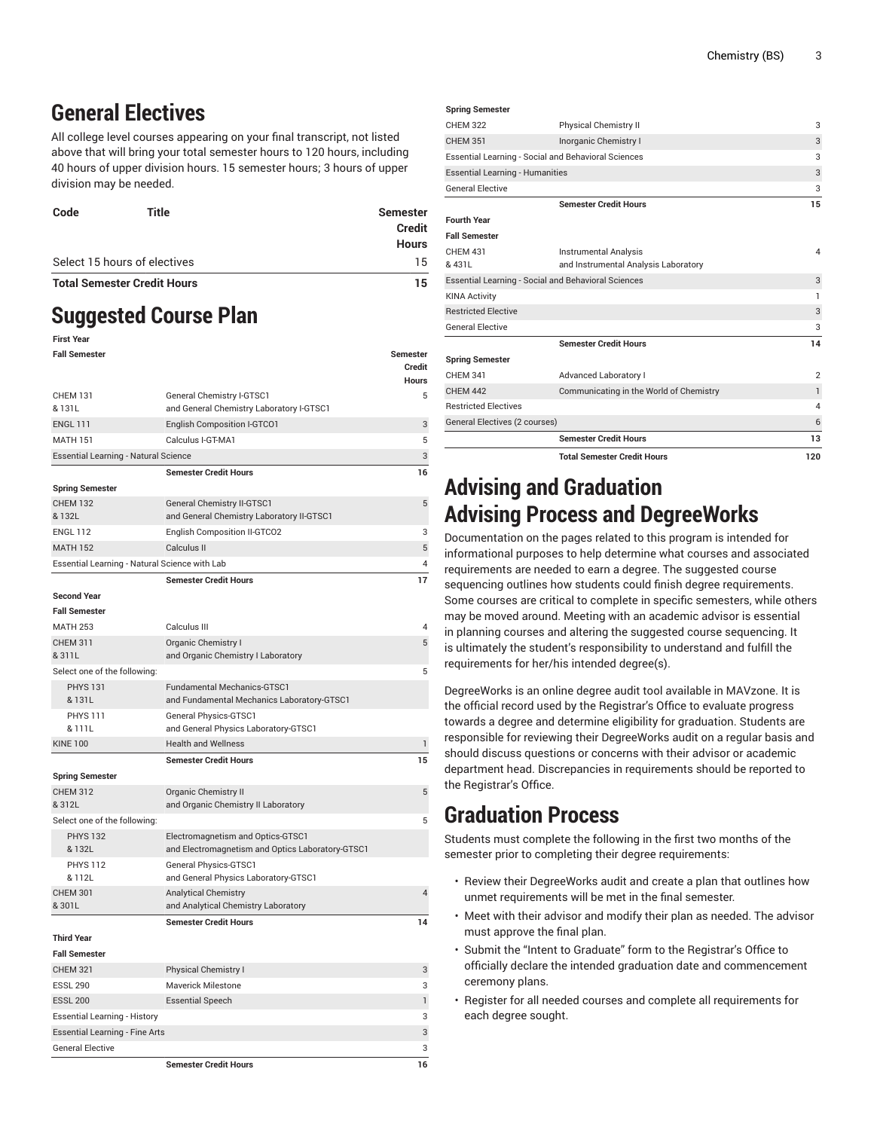### **General Electives**

All college level courses appearing on your final transcript, not listed above that will bring your total semester hours to 120 hours, including 40 hours of upper division hours. 15 semester hours; 3 hours of upper division may be needed.

| Select 15 hours of electives       | <b>Credit</b><br><b>Hours</b><br>15 |
|------------------------------------|-------------------------------------|
| <b>Total Semester Credit Hours</b> | 15                                  |

# **Suggested Course Plan**

| <b>First Year</b>                             |                                                                       |                 |
|-----------------------------------------------|-----------------------------------------------------------------------|-----------------|
| <b>Fall Semester</b>                          |                                                                       | <b>Semester</b> |
|                                               |                                                                       | Credit          |
|                                               |                                                                       | <b>Hours</b>    |
| <b>CHEM 131</b><br>& 131L                     | General Chemistry I-GTSC1<br>and General Chemistry Laboratory I-GTSC1 | 5               |
| <b>ENGL 111</b>                               | English Composition I-GTCO1                                           | 3               |
| <b>MATH 151</b>                               | Calculus I-GT-MA1                                                     | 5               |
| Essential Learning - Natural Science          |                                                                       | 3               |
|                                               | <b>Semester Credit Hours</b>                                          | 16              |
| <b>Spring Semester</b>                        |                                                                       |                 |
| <b>CHEM 132</b>                               | General Chemistry II-GTSC1                                            | 5               |
| & 132L                                        | and General Chemistry Laboratory II-GTSC1                             |                 |
| <b>ENGL 112</b>                               | English Composition II-GTCO2                                          | 3               |
| <b>MATH 152</b>                               | Calculus II                                                           | 5               |
| Essential Learning - Natural Science with Lab |                                                                       | 4               |
|                                               | <b>Semester Credit Hours</b>                                          | 17              |
| <b>Second Year</b>                            |                                                                       |                 |
| <b>Fall Semester</b>                          |                                                                       |                 |
| <b>MATH 253</b>                               | Calculus III                                                          | 4               |
| <b>CHEM 311</b>                               | <b>Organic Chemistry I</b>                                            | 5               |
| & 311L                                        | and Organic Chemistry I Laboratory                                    |                 |
| Select one of the following:                  |                                                                       | 5               |
| <b>PHYS 131</b>                               | <b>Fundamental Mechanics-GTSC1</b>                                    |                 |
| & 131L                                        | and Fundamental Mechanics Laboratory-GTSC1                            |                 |
| <b>PHYS 111</b><br>& 111L                     | <b>General Physics-GTSC1</b>                                          |                 |
| <b>KINE 100</b>                               | and General Physics Laboratory-GTSC1<br><b>Health and Wellness</b>    | $\mathbf{1}$    |
|                                               | <b>Semester Credit Hours</b>                                          | 15              |
| <b>Spring Semester</b>                        |                                                                       |                 |
| <b>CHEM 312</b>                               | <b>Organic Chemistry II</b>                                           | 5               |
| & 312L                                        | and Organic Chemistry II Laboratory                                   |                 |
| Select one of the following:                  |                                                                       | 5               |
| <b>PHYS 132</b>                               | Electromagnetism and Optics-GTSC1                                     |                 |
| & 132L                                        | and Electromagnetism and Optics Laboratory-GTSC1                      |                 |
| <b>PHYS 112</b>                               | General Physics-GTSC1                                                 |                 |
| & 112L                                        | and General Physics Laboratory-GTSC1                                  |                 |
| <b>CHEM 301</b>                               | <b>Analytical Chemistry</b>                                           | 4               |
| &301L                                         | and Analytical Chemistry Laboratory                                   |                 |
|                                               | <b>Semester Credit Hours</b>                                          | 14              |
| <b>Third Year</b>                             |                                                                       |                 |
| <b>Fall Semester</b>                          |                                                                       |                 |
| <b>CHEM 321</b><br><b>ESSL 290</b>            | <b>Physical Chemistry I</b><br>Maverick Milestone                     | 3<br>3          |
| <b>ESSL 200</b>                               |                                                                       | $\mathbf{1}$    |
| <b>Essential Learning - History</b>           | <b>Essential Speech</b>                                               | 3               |
| <b>Essential Learning - Fine Arts</b>         |                                                                       | 3               |
|                                               |                                                                       |                 |

General Elective 3

**Semester Credit Hours 16**

|                                        | <b>Total Semester Credit Hours</b>                                   | 120                     |
|----------------------------------------|----------------------------------------------------------------------|-------------------------|
|                                        | <b>Semester Credit Hours</b>                                         | 13                      |
| General Electives (2 courses)          |                                                                      | 6                       |
| <b>Restricted Electives</b>            |                                                                      | $\overline{\mathbf{A}}$ |
| <b>CHEM 442</b>                        | Communicating in the World of Chemistry                              | $\mathbf{1}$            |
| <b>CHEM 341</b>                        | <b>Advanced Laboratory I</b>                                         | $\overline{2}$          |
| <b>Spring Semester</b>                 |                                                                      |                         |
|                                        | <b>Semester Credit Hours</b>                                         | 14                      |
| <b>General Elective</b>                |                                                                      | 3                       |
| <b>Restricted Elective</b>             |                                                                      | 3                       |
| <b>KINA Activity</b>                   |                                                                      | 1                       |
|                                        | <b>Essential Learning - Social and Behavioral Sciences</b>           | 3                       |
| <b>CHFM 431</b><br>& 431L              | <b>Instrumental Analysis</b><br>and Instrumental Analysis Laboratory | 4                       |
| <b>Fall Semester</b>                   |                                                                      |                         |
| <b>Fourth Year</b>                     |                                                                      |                         |
|                                        | <b>Semester Credit Hours</b>                                         | 15                      |
| <b>General Elective</b>                |                                                                      | 3                       |
| <b>Essential Learning - Humanities</b> |                                                                      | 3                       |
|                                        | <b>Essential Learning - Social and Behavioral Sciences</b>           | 3                       |
| <b>CHEM 351</b>                        | Inorganic Chemistry I                                                | 3                       |
| <b>CHFM 322</b>                        | <b>Physical Chemistry II</b>                                         | 3                       |
| <b>Spring Semester</b>                 |                                                                      |                         |

### **Advising and Graduation Advising Process and DegreeWorks**

Documentation on the pages related to this program is intended for informational purposes to help determine what courses and associated requirements are needed to earn a degree. The suggested course sequencing outlines how students could finish degree requirements. Some courses are critical to complete in specific semesters, while others may be moved around. Meeting with an academic advisor is essential in planning courses and altering the suggested course sequencing. It is ultimately the student's responsibility to understand and fulfill the requirements for her/his intended degree(s).

DegreeWorks is an online degree audit tool available in MAVzone. It is the official record used by the Registrar's Office to evaluate progress towards a degree and determine eligibility for graduation. Students are responsible for reviewing their DegreeWorks audit on a regular basis and should discuss questions or concerns with their advisor or academic department head. Discrepancies in requirements should be reported to the Registrar's Office.

### **Graduation Process**

Students must complete the following in the first two months of the semester prior to completing their degree requirements:

- Review their DegreeWorks audit and create a plan that outlines how unmet requirements will be met in the final semester.
- Meet with their advisor and modify their plan as needed. The advisor must approve the final plan.
- Submit the "Intent to Graduate" form to the Registrar's Office to officially declare the intended graduation date and commencement ceremony plans.
- Register for all needed courses and complete all requirements for each degree sought.